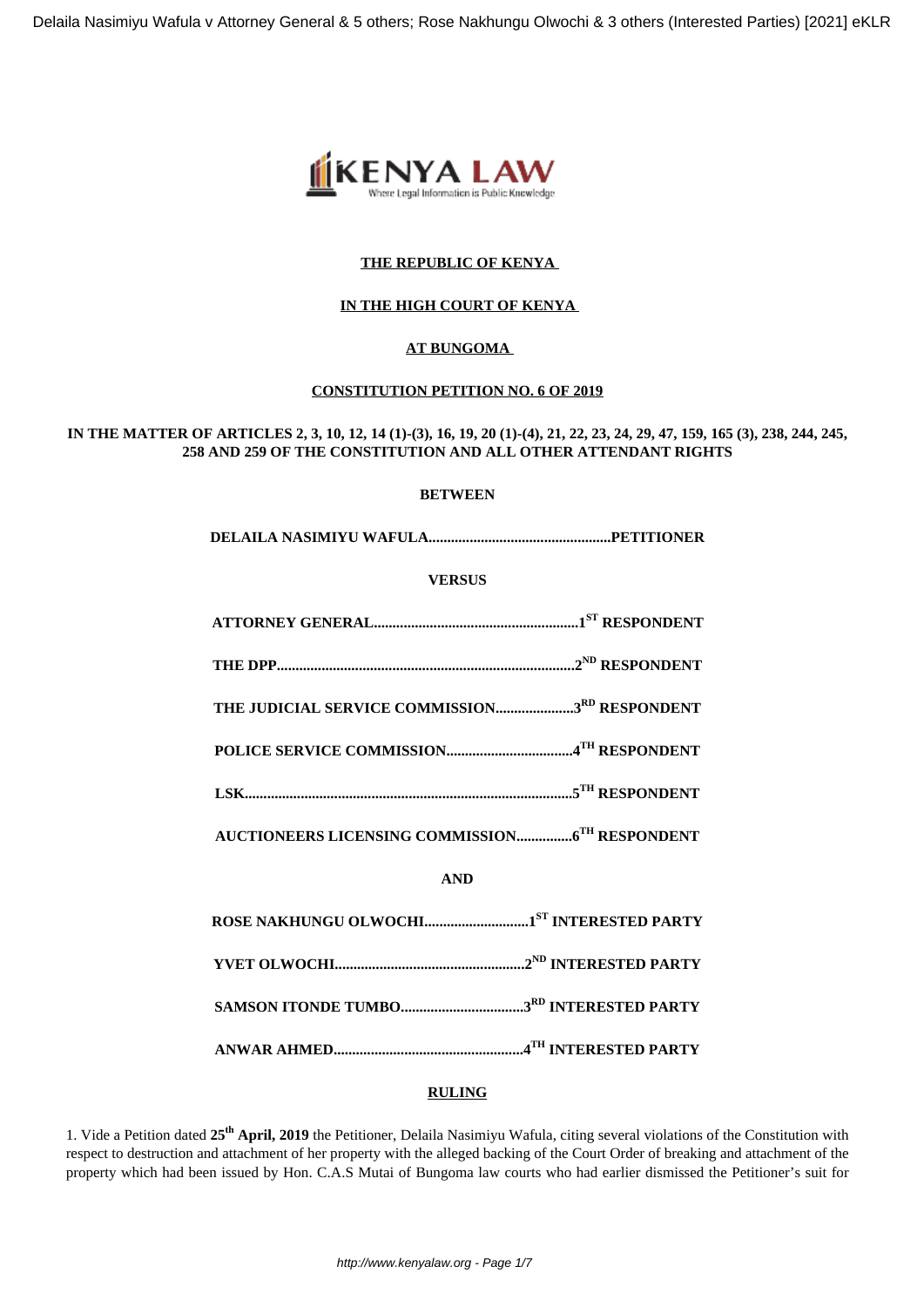

# **THE REPUBLIC OF KENYA**

# **IN THE HIGH COURT OF KENYA**

# **AT BUNGOMA**

## **CONSTITUTION PETITION NO. 6 OF 2019**

# **IN THE MATTER OF ARTICLES 2, 3, 10, 12, 14 (1)-(3), 16, 19, 20 (1)-(4), 21, 22, 23, 24, 29, 47, 159, 165 (3), 238, 244, 245, 258 AND 259 OF THE CONSTITUTION AND ALL OTHER ATTENDANT RIGHTS**

## **BETWEEN**

**DELAILA NASIMIYU WAFULA.................................................PETITIONER**

## **VERSUS**

| THE JUDICIAL SERVICE COMMISSION3RD RESPONDENT                                                                                                                                                                                               |
|---------------------------------------------------------------------------------------------------------------------------------------------------------------------------------------------------------------------------------------------|
|                                                                                                                                                                                                                                             |
| ${\bf LSK.}.\hspace*{2.5mm} \textbf{LSK.}.\hspace*{2.5mm} \textbf{S}^{\textbf{TH}}\textbf{RESPONDENT}$                                                                                                                                      |
|                                                                                                                                                                                                                                             |
| <b>AND</b>                                                                                                                                                                                                                                  |
|                                                                                                                                                                                                                                             |
|                                                                                                                                                                                                                                             |
|                                                                                                                                                                                                                                             |
| ${\bf ANWAR\ AH MED.}\label{thm:am} \begin{minipage}[c]{0.9\linewidth} \textbf{ANWAR\ AHMED.}\end{minipage} \begin{minipage}[c]{0.9\linewidth} \textbf{MWR} \end{minipage} \begin{minipage}[c]{0.9\linewidth} \textbf{ARTY} \end{minipage}$ |

## **RULING**

1. Vide a Petition dated **25th April, 2019** the Petitioner, Delaila Nasimiyu Wafula, citing several violations of the Constitution with respect to destruction and attachment of her property with the alleged backing of the Court Order of breaking and attachment of the property which had been issued by Hon. C.A.S Mutai of Bungoma law courts who had earlier dismissed the Petitioner's suit for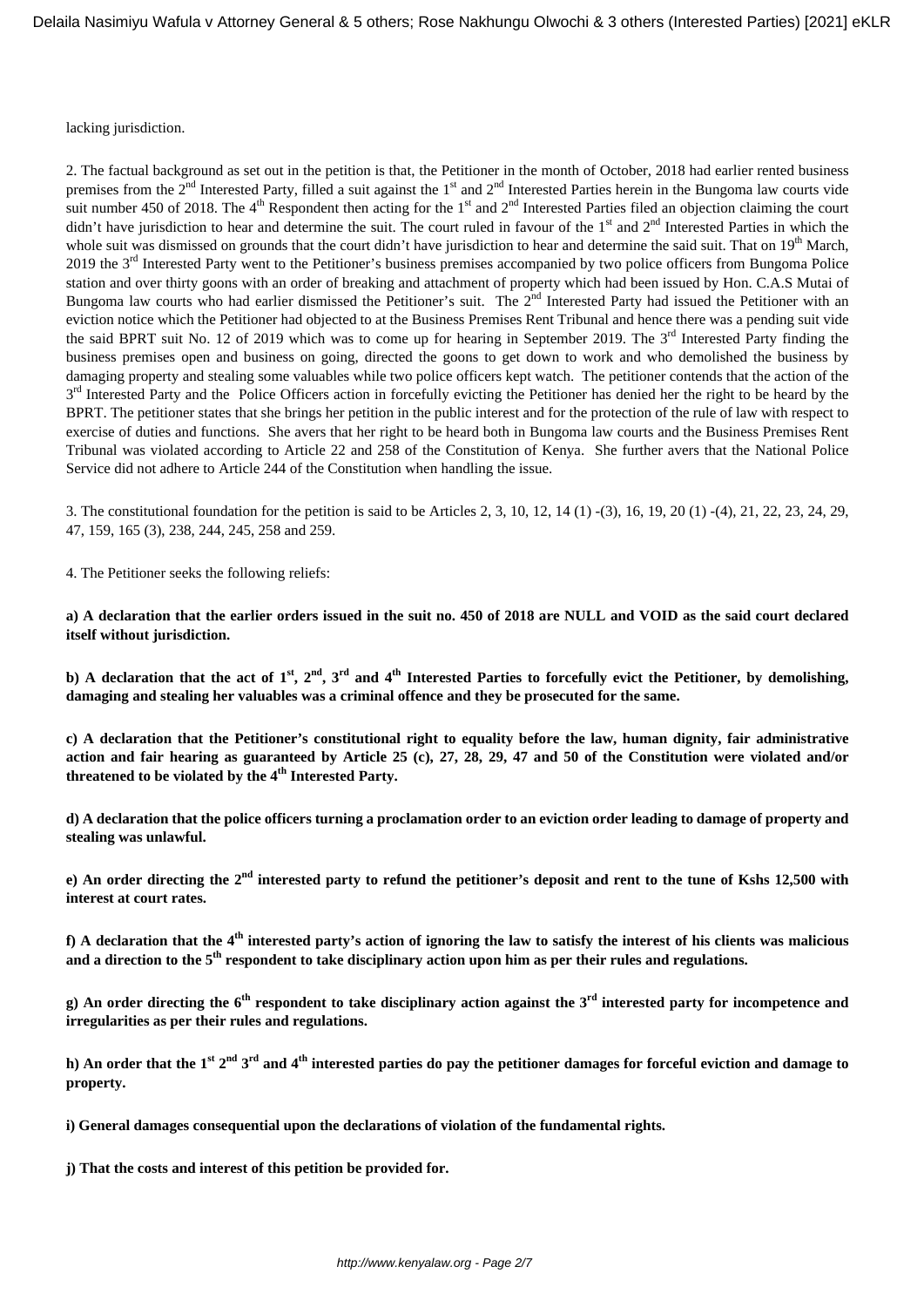lacking jurisdiction.

2. The factual background as set out in the petition is that, the Petitioner in the month of October, 2018 had earlier rented business premises from the  $2<sup>nd</sup>$  Interested Party, filled a suit against the 1<sup>st</sup> and  $2<sup>nd</sup>$  Interested Parties herein in the Bungoma law courts vide suit number 450 of 2018. The  $4<sup>th</sup>$  Respondent then acting for the  $1<sup>st</sup>$  and  $2<sup>nd</sup>$  Interested Parties filed an objection claiming the court didn't have jurisdiction to hear and determine the suit. The court ruled in favour of the 1<sup>st</sup> and 2<sup>nd</sup> Interested Parties in which the whole suit was dismissed on grounds that the court didn't have jurisdiction to hear and determine the said suit. That on  $19<sup>th</sup>$  March, 2019 the 3<sup>rd</sup> Interested Party went to the Petitioner's business premises accompanied by two police officers from Bungoma Police station and over thirty goons with an order of breaking and attachment of property which had been issued by Hon. C.A.S Mutai of Bungoma law courts who had earlier dismissed the Petitioner's suit. The 2<sup>nd</sup> Interested Party had issued the Petitioner with an eviction notice which the Petitioner had objected to at the Business Premises Rent Tribunal and hence there was a pending suit vide the said BPRT suit No. 12 of 2019 which was to come up for hearing in September 2019. The  $3<sup>rd</sup>$  Interested Party finding the business premises open and business on going, directed the goons to get down to work and who demolished the business by damaging property and stealing some valuables while two police officers kept watch. The petitioner contends that the action of the 3<sup>rd</sup> Interested Party and the Police Officers action in forcefully evicting the Petitioner has denied her the right to be heard by the BPRT. The petitioner states that she brings her petition in the public interest and for the protection of the rule of law with respect to exercise of duties and functions. She avers that her right to be heard both in Bungoma law courts and the Business Premises Rent Tribunal was violated according to Article 22 and 258 of the Constitution of Kenya. She further avers that the National Police Service did not adhere to Article 244 of the Constitution when handling the issue.

3. The constitutional foundation for the petition is said to be Articles 2, 3, 10, 12, 14 (1) -(3), 16, 19, 20 (1) -(4), 21, 22, 23, 24, 29, 47, 159, 165 (3), 238, 244, 245, 258 and 259.

4. The Petitioner seeks the following reliefs:

**a) A declaration that the earlier orders issued in the suit no. 450 of 2018 are NULL and VOID as the said court declared itself without jurisdiction.**

**b) A declaration that the act of 1st, 2nd, 3rd and 4th Interested Parties to forcefully evict the Petitioner, by demolishing, damaging and stealing her valuables was a criminal offence and they be prosecuted for the same.**

**c) A declaration that the Petitioner's constitutional right to equality before the law, human dignity, fair administrative action and fair hearing as guaranteed by Article 25 (c), 27, 28, 29, 47 and 50 of the Constitution were violated and/or threatened to be violated by the 4th Interested Party.**

**d) A declaration that the police officers turning a proclamation order to an eviction order leading to damage of property and stealing was unlawful.**

**e) An order directing the 2nd interested party to refund the petitioner's deposit and rent to the tune of Kshs 12,500 with interest at court rates.**

**f) A declaration that the 4th interested party's action of ignoring the law to satisfy the interest of his clients was malicious and a direction to the 5th respondent to take disciplinary action upon him as per their rules and regulations.**

**g) An order directing the 6th respondent to take disciplinary action against the 3rd interested party for incompetence and irregularities as per their rules and regulations.**

**h) An order that the 1st 2nd 3rd and 4th interested parties do pay the petitioner damages for forceful eviction and damage to property.**

**i) General damages consequential upon the declarations of violation of the fundamental rights.**

**j) That the costs and interest of this petition be provided for.**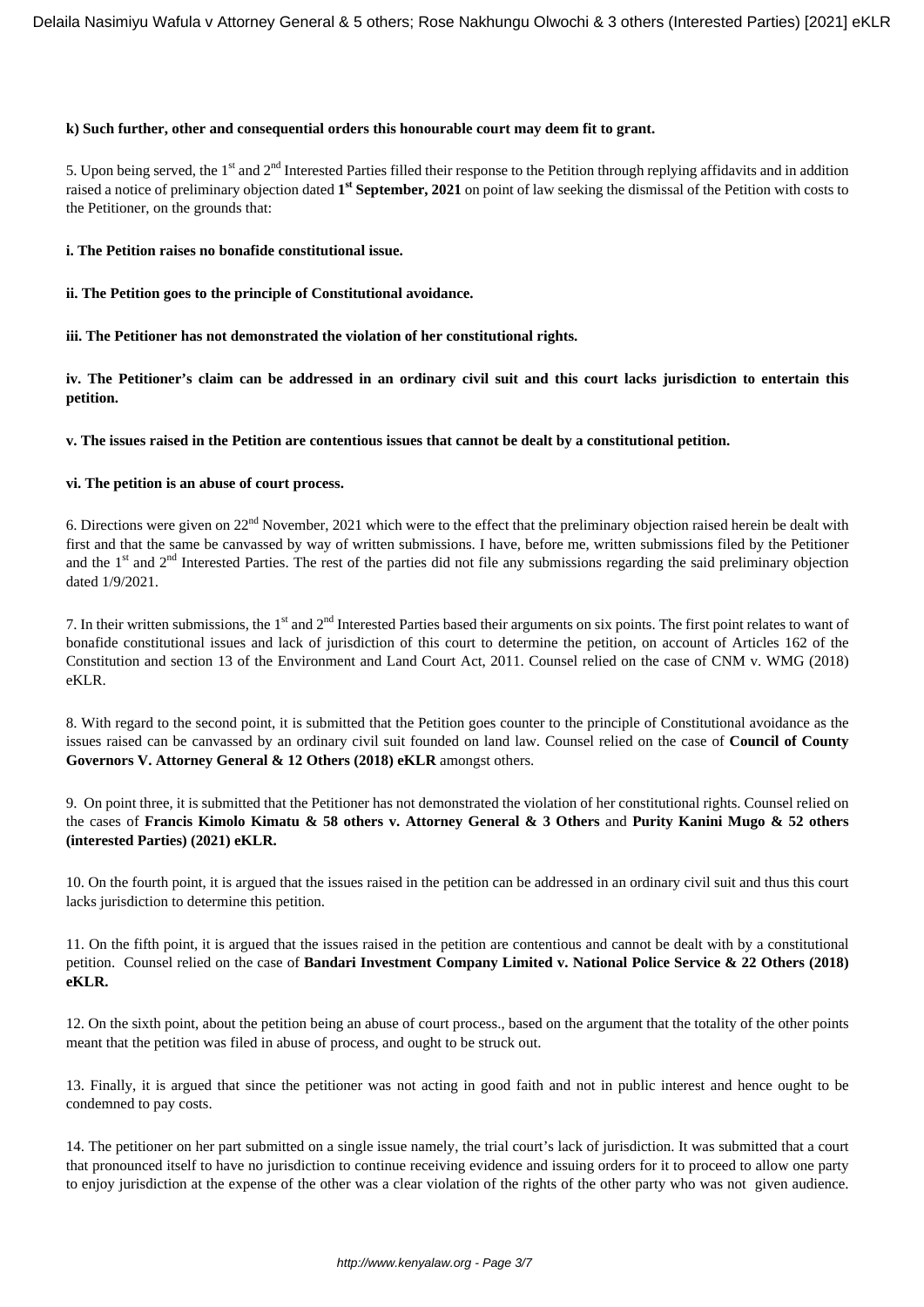#### **k) Such further, other and consequential orders this honourable court may deem fit to grant.**

5. Upon being served, the 1<sup>st</sup> and 2<sup>nd</sup> Interested Parties filled their response to the Petition through replying affidavits and in addition raised a notice of preliminary objection dated **1 st September, 2021** on point of law seeking the dismissal of the Petition with costs to the Petitioner, on the grounds that:

#### **i. The Petition raises no bonafide constitutional issue.**

**ii. The Petition goes to the principle of Constitutional avoidance.**

**iii. The Petitioner has not demonstrated the violation of her constitutional rights.**

**iv. The Petitioner's claim can be addressed in an ordinary civil suit and this court lacks jurisdiction to entertain this petition.**

**v. The issues raised in the Petition are contentious issues that cannot be dealt by a constitutional petition.**

#### **vi. The petition is an abuse of court process.**

6. Directions were given on 22nd November, 2021 which were to the effect that the preliminary objection raised herein be dealt with first and that the same be canvassed by way of written submissions. I have, before me, written submissions filed by the Petitioner and the  $1<sup>st</sup>$  and  $2<sup>nd</sup>$  Interested Parties. The rest of the parties did not file any submissions regarding the said preliminary objection dated 1/9/2021.

7. In their written submissions, the 1<sup>st</sup> and 2<sup>nd</sup> Interested Parties based their arguments on six points. The first point relates to want of bonafide constitutional issues and lack of jurisdiction of this court to determine the petition, on account of Articles 162 of the Constitution and section 13 of the Environment and Land Court Act, 2011. Counsel relied on the case of CNM v. WMG (2018) eKLR.

8. With regard to the second point, it is submitted that the Petition goes counter to the principle of Constitutional avoidance as the issues raised can be canvassed by an ordinary civil suit founded on land law. Counsel relied on the case of **Council of County Governors V. Attorney General & 12 Others (2018) eKLR** amongst others.

9. On point three, it is submitted that the Petitioner has not demonstrated the violation of her constitutional rights. Counsel relied on the cases of **Francis Kimolo Kimatu & 58 others v. Attorney General & 3 Others** and **Purity Kanini Mugo & 52 others (interested Parties) (2021) eKLR.**

10. On the fourth point, it is argued that the issues raised in the petition can be addressed in an ordinary civil suit and thus this court lacks jurisdiction to determine this petition.

11. On the fifth point, it is argued that the issues raised in the petition are contentious and cannot be dealt with by a constitutional petition. Counsel relied on the case of **Bandari Investment Company Limited v. National Police Service & 22 Others (2018) eKLR.**

12. On the sixth point, about the petition being an abuse of court process., based on the argument that the totality of the other points meant that the petition was filed in abuse of process, and ought to be struck out.

13. Finally, it is argued that since the petitioner was not acting in good faith and not in public interest and hence ought to be condemned to pay costs.

14. The petitioner on her part submitted on a single issue namely, the trial court's lack of jurisdiction. It was submitted that a court that pronounced itself to have no jurisdiction to continue receiving evidence and issuing orders for it to proceed to allow one party to enjoy jurisdiction at the expense of the other was a clear violation of the rights of the other party who was not given audience.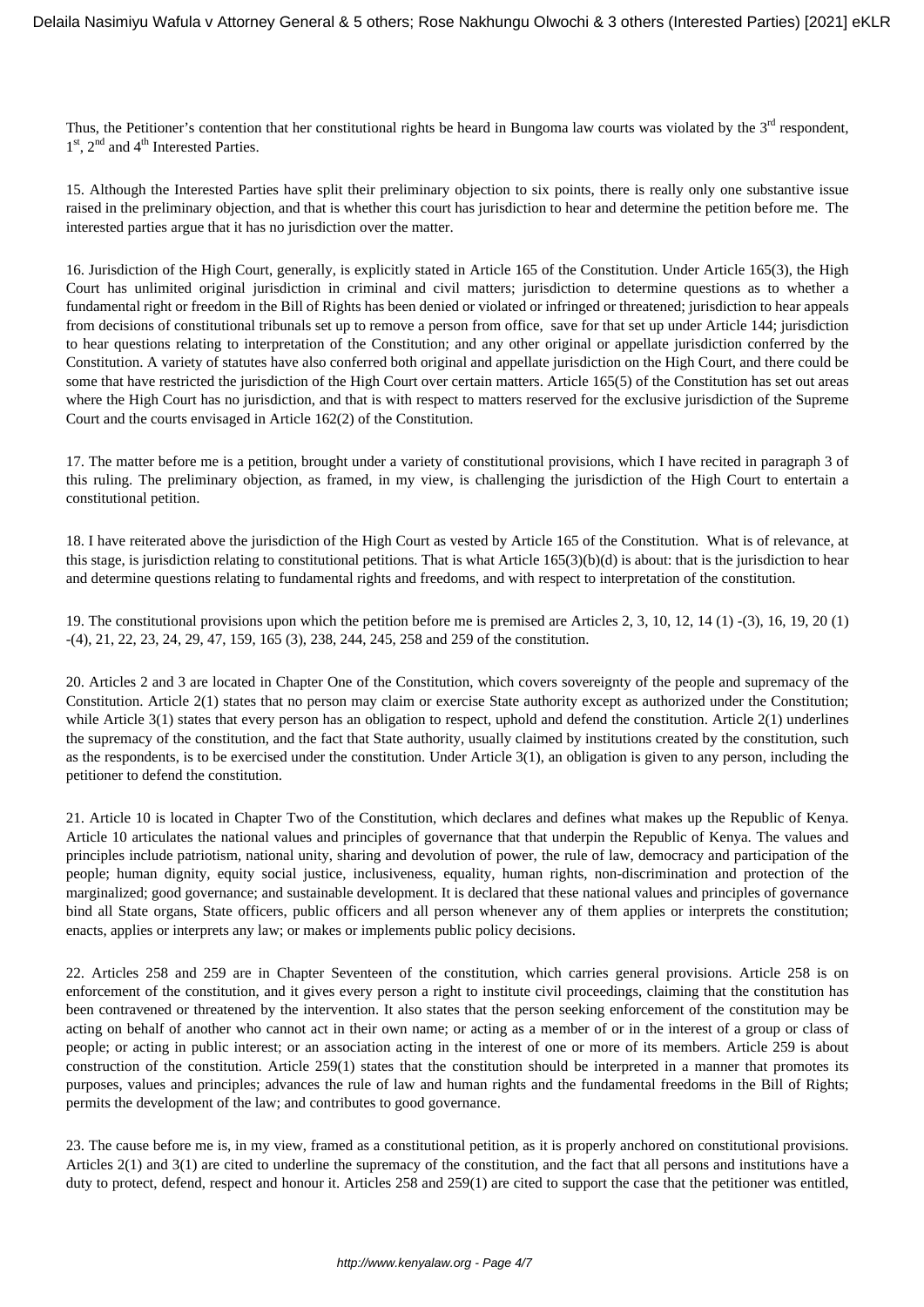Thus, the Petitioner's contention that her constitutional rights be heard in Bungoma law courts was violated by the  $3<sup>rd</sup>$  respondent, 1<sup>st</sup>, 2<sup>nd</sup> and 4<sup>th</sup> Interested Parties.

15. Although the Interested Parties have split their preliminary objection to six points, there is really only one substantive issue raised in the preliminary objection, and that is whether this court has jurisdiction to hear and determine the petition before me. The interested parties argue that it has no jurisdiction over the matter.

16. Jurisdiction of the High Court, generally, is explicitly stated in Article 165 of the Constitution. Under Article 165(3), the High Court has unlimited original jurisdiction in criminal and civil matters; jurisdiction to determine questions as to whether a fundamental right or freedom in the Bill of Rights has been denied or violated or infringed or threatened; jurisdiction to hear appeals from decisions of constitutional tribunals set up to remove a person from office, save for that set up under Article 144; jurisdiction to hear questions relating to interpretation of the Constitution; and any other original or appellate jurisdiction conferred by the Constitution. A variety of statutes have also conferred both original and appellate jurisdiction on the High Court, and there could be some that have restricted the jurisdiction of the High Court over certain matters. Article 165(5) of the Constitution has set out areas where the High Court has no jurisdiction, and that is with respect to matters reserved for the exclusive jurisdiction of the Supreme Court and the courts envisaged in Article 162(2) of the Constitution.

17. The matter before me is a petition, brought under a variety of constitutional provisions, which I have recited in paragraph 3 of this ruling. The preliminary objection, as framed, in my view, is challenging the jurisdiction of the High Court to entertain a constitutional petition.

18. I have reiterated above the jurisdiction of the High Court as vested by Article 165 of the Constitution. What is of relevance, at this stage, is jurisdiction relating to constitutional petitions. That is what Article 165(3)(b)(d) is about: that is the jurisdiction to hear and determine questions relating to fundamental rights and freedoms, and with respect to interpretation of the constitution.

19. The constitutional provisions upon which the petition before me is premised are Articles 2, 3, 10, 12, 14 (1) -(3), 16, 19, 20 (1) -(4), 21, 22, 23, 24, 29, 47, 159, 165 (3), 238, 244, 245, 258 and 259 of the constitution.

20. Articles 2 and 3 are located in Chapter One of the Constitution, which covers sovereignty of the people and supremacy of the Constitution. Article 2(1) states that no person may claim or exercise State authority except as authorized under the Constitution; while Article 3(1) states that every person has an obligation to respect, uphold and defend the constitution. Article 2(1) underlines the supremacy of the constitution, and the fact that State authority, usually claimed by institutions created by the constitution, such as the respondents, is to be exercised under the constitution. Under Article 3(1), an obligation is given to any person, including the petitioner to defend the constitution.

21. Article 10 is located in Chapter Two of the Constitution, which declares and defines what makes up the Republic of Kenya. Article 10 articulates the national values and principles of governance that that underpin the Republic of Kenya. The values and principles include patriotism, national unity, sharing and devolution of power, the rule of law, democracy and participation of the people; human dignity, equity social justice, inclusiveness, equality, human rights, non-discrimination and protection of the marginalized; good governance; and sustainable development. It is declared that these national values and principles of governance bind all State organs, State officers, public officers and all person whenever any of them applies or interprets the constitution; enacts, applies or interprets any law; or makes or implements public policy decisions.

22. Articles 258 and 259 are in Chapter Seventeen of the constitution, which carries general provisions. Article 258 is on enforcement of the constitution, and it gives every person a right to institute civil proceedings, claiming that the constitution has been contravened or threatened by the intervention. It also states that the person seeking enforcement of the constitution may be acting on behalf of another who cannot act in their own name; or acting as a member of or in the interest of a group or class of people; or acting in public interest; or an association acting in the interest of one or more of its members. Article 259 is about construction of the constitution. Article 259(1) states that the constitution should be interpreted in a manner that promotes its purposes, values and principles; advances the rule of law and human rights and the fundamental freedoms in the Bill of Rights; permits the development of the law; and contributes to good governance.

23. The cause before me is, in my view, framed as a constitutional petition, as it is properly anchored on constitutional provisions. Articles 2(1) and 3(1) are cited to underline the supremacy of the constitution, and the fact that all persons and institutions have a duty to protect, defend, respect and honour it. Articles 258 and 259(1) are cited to support the case that the petitioner was entitled,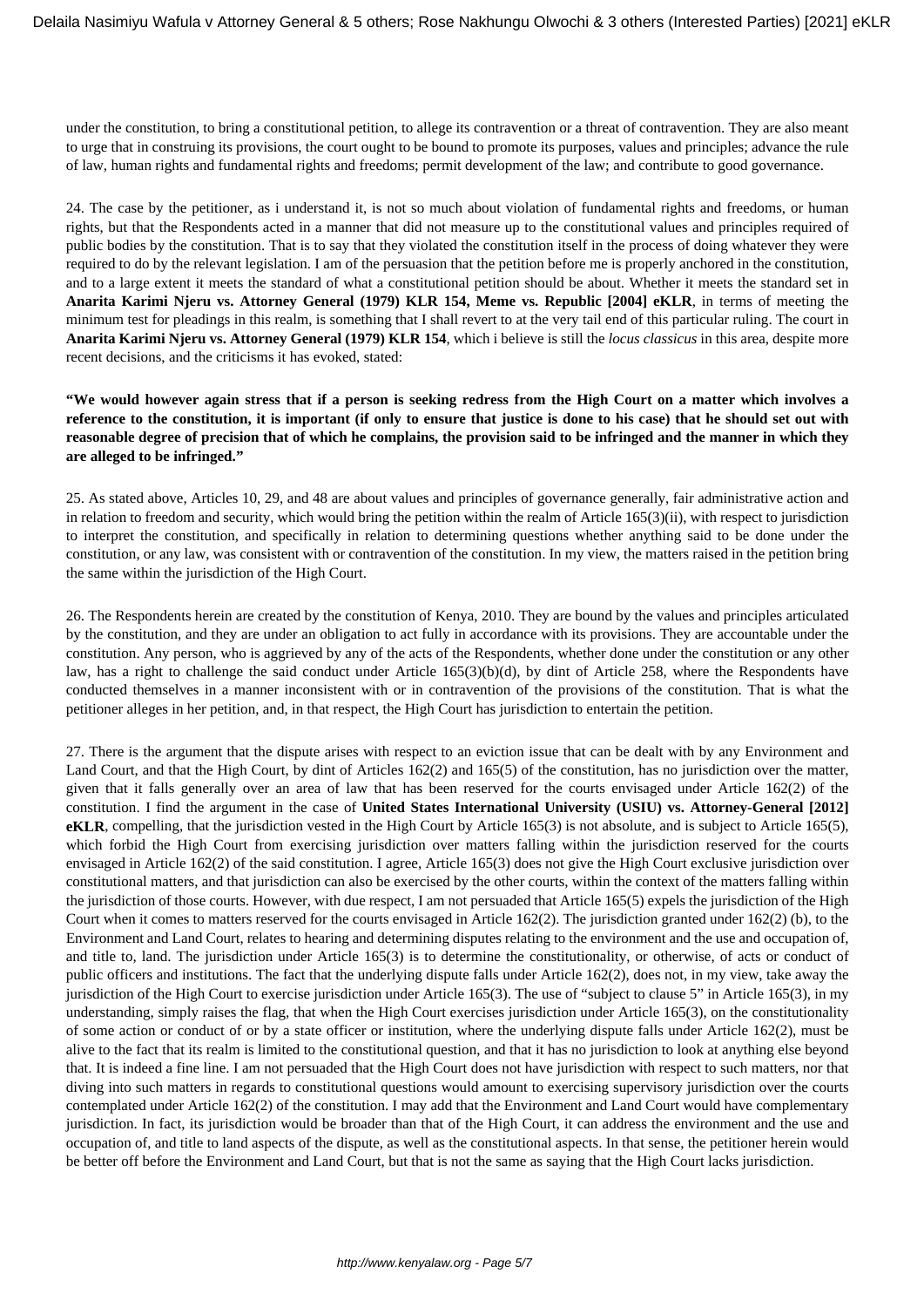under the constitution, to bring a constitutional petition, to allege its contravention or a threat of contravention. They are also meant to urge that in construing its provisions, the court ought to be bound to promote its purposes, values and principles; advance the rule of law, human rights and fundamental rights and freedoms; permit development of the law; and contribute to good governance.

24. The case by the petitioner, as i understand it, is not so much about violation of fundamental rights and freedoms, or human rights, but that the Respondents acted in a manner that did not measure up to the constitutional values and principles required of public bodies by the constitution. That is to say that they violated the constitution itself in the process of doing whatever they were required to do by the relevant legislation. I am of the persuasion that the petition before me is properly anchored in the constitution, and to a large extent it meets the standard of what a constitutional petition should be about. Whether it meets the standard set in **Anarita Karimi Njeru vs. Attorney General (1979) KLR 154, Meme vs. Republic [2004] eKLR**, in terms of meeting the minimum test for pleadings in this realm, is something that I shall revert to at the very tail end of this particular ruling. The court in **Anarita Karimi Njeru vs. Attorney General (1979) KLR 154**, which i believe is still the *locus classicus* in this area, despite more recent decisions, and the criticisms it has evoked, stated:

**"We would however again stress that if a person is seeking redress from the High Court on a matter which involves a reference to the constitution, it is important (if only to ensure that justice is done to his case) that he should set out with reasonable degree of precision that of which he complains, the provision said to be infringed and the manner in which they are alleged to be infringed."**

25. As stated above, Articles 10, 29, and 48 are about values and principles of governance generally, fair administrative action and in relation to freedom and security, which would bring the petition within the realm of Article 165(3)(ii), with respect to jurisdiction to interpret the constitution, and specifically in relation to determining questions whether anything said to be done under the constitution, or any law, was consistent with or contravention of the constitution. In my view, the matters raised in the petition bring the same within the jurisdiction of the High Court.

26. The Respondents herein are created by the constitution of Kenya, 2010. They are bound by the values and principles articulated by the constitution, and they are under an obligation to act fully in accordance with its provisions. They are accountable under the constitution. Any person, who is aggrieved by any of the acts of the Respondents, whether done under the constitution or any other law, has a right to challenge the said conduct under Article 165(3)(b)(d), by dint of Article 258, where the Respondents have conducted themselves in a manner inconsistent with or in contravention of the provisions of the constitution. That is what the petitioner alleges in her petition, and, in that respect, the High Court has jurisdiction to entertain the petition.

27. There is the argument that the dispute arises with respect to an eviction issue that can be dealt with by any Environment and Land Court, and that the High Court, by dint of Articles 162(2) and 165(5) of the constitution, has no jurisdiction over the matter, given that it falls generally over an area of law that has been reserved for the courts envisaged under Article 162(2) of the constitution. I find the argument in the case of **United States International University (USIU) vs. Attorney-General [2012] eKLR**, compelling, that the jurisdiction vested in the High Court by Article 165(3) is not absolute, and is subject to Article 165(5), which forbid the High Court from exercising jurisdiction over matters falling within the jurisdiction reserved for the courts envisaged in Article 162(2) of the said constitution. I agree, Article 165(3) does not give the High Court exclusive jurisdiction over constitutional matters, and that jurisdiction can also be exercised by the other courts, within the context of the matters falling within the jurisdiction of those courts. However, with due respect, I am not persuaded that Article 165(5) expels the jurisdiction of the High Court when it comes to matters reserved for the courts envisaged in Article 162(2). The jurisdiction granted under 162(2) (b), to the Environment and Land Court, relates to hearing and determining disputes relating to the environment and the use and occupation of, and title to, land. The jurisdiction under Article 165(3) is to determine the constitutionality, or otherwise, of acts or conduct of public officers and institutions. The fact that the underlying dispute falls under Article 162(2), does not, in my view, take away the jurisdiction of the High Court to exercise jurisdiction under Article 165(3). The use of "subject to clause 5" in Article 165(3), in my understanding, simply raises the flag, that when the High Court exercises jurisdiction under Article 165(3), on the constitutionality of some action or conduct of or by a state officer or institution, where the underlying dispute falls under Article 162(2), must be alive to the fact that its realm is limited to the constitutional question, and that it has no jurisdiction to look at anything else beyond that. It is indeed a fine line. I am not persuaded that the High Court does not have jurisdiction with respect to such matters, nor that diving into such matters in regards to constitutional questions would amount to exercising supervisory jurisdiction over the courts contemplated under Article 162(2) of the constitution. I may add that the Environment and Land Court would have complementary jurisdiction. In fact, its jurisdiction would be broader than that of the High Court, it can address the environment and the use and occupation of, and title to land aspects of the dispute, as well as the constitutional aspects. In that sense, the petitioner herein would be better off before the Environment and Land Court, but that is not the same as saying that the High Court lacks jurisdiction.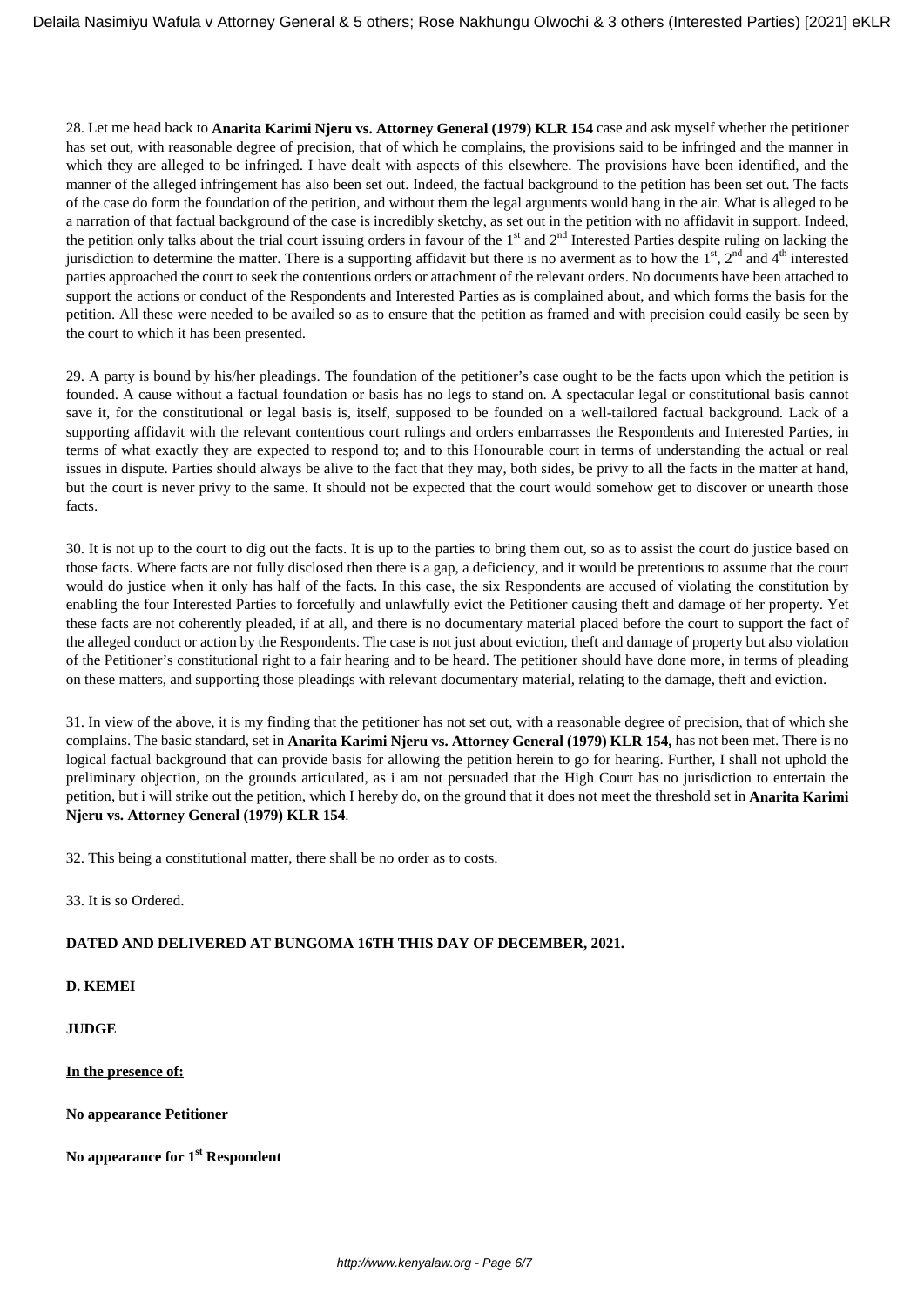28. Let me head back to **Anarita Karimi Njeru vs. Attorney General (1979) KLR 154** case and ask myself whether the petitioner has set out, with reasonable degree of precision, that of which he complains, the provisions said to be infringed and the manner in which they are alleged to be infringed. I have dealt with aspects of this elsewhere. The provisions have been identified, and the manner of the alleged infringement has also been set out. Indeed, the factual background to the petition has been set out. The facts of the case do form the foundation of the petition, and without them the legal arguments would hang in the air. What is alleged to be a narration of that factual background of the case is incredibly sketchy, as set out in the petition with no affidavit in support. Indeed, the petition only talks about the trial court issuing orders in favour of the  $1<sup>st</sup>$  and  $2<sup>nd</sup>$  Interested Parties despite ruling on lacking the jurisdiction to determine the matter. There is a supporting affidavit but there is no averment as to how the  $1<sup>st</sup>$ ,  $2<sup>nd</sup>$  and  $4<sup>th</sup>$  interested parties approached the court to seek the contentious orders or attachment of the relevant orders. No documents have been attached to support the actions or conduct of the Respondents and Interested Parties as is complained about, and which forms the basis for the petition. All these were needed to be availed so as to ensure that the petition as framed and with precision could easily be seen by the court to which it has been presented.

29. A party is bound by his/her pleadings. The foundation of the petitioner's case ought to be the facts upon which the petition is founded. A cause without a factual foundation or basis has no legs to stand on. A spectacular legal or constitutional basis cannot save it, for the constitutional or legal basis is, itself, supposed to be founded on a well-tailored factual background. Lack of a supporting affidavit with the relevant contentious court rulings and orders embarrasses the Respondents and Interested Parties, in terms of what exactly they are expected to respond to; and to this Honourable court in terms of understanding the actual or real issues in dispute. Parties should always be alive to the fact that they may, both sides, be privy to all the facts in the matter at hand, but the court is never privy to the same. It should not be expected that the court would somehow get to discover or unearth those facts.

30. It is not up to the court to dig out the facts. It is up to the parties to bring them out, so as to assist the court do justice based on those facts. Where facts are not fully disclosed then there is a gap, a deficiency, and it would be pretentious to assume that the court would do justice when it only has half of the facts. In this case, the six Respondents are accused of violating the constitution by enabling the four Interested Parties to forcefully and unlawfully evict the Petitioner causing theft and damage of her property. Yet these facts are not coherently pleaded, if at all, and there is no documentary material placed before the court to support the fact of the alleged conduct or action by the Respondents. The case is not just about eviction, theft and damage of property but also violation of the Petitioner's constitutional right to a fair hearing and to be heard. The petitioner should have done more, in terms of pleading on these matters, and supporting those pleadings with relevant documentary material, relating to the damage, theft and eviction.

31. In view of the above, it is my finding that the petitioner has not set out, with a reasonable degree of precision, that of which she complains. The basic standard, set in **Anarita Karimi Njeru vs. Attorney General (1979) KLR 154,** has not been met. There is no logical factual background that can provide basis for allowing the petition herein to go for hearing. Further, I shall not uphold the preliminary objection, on the grounds articulated, as i am not persuaded that the High Court has no jurisdiction to entertain the petition, but i will strike out the petition, which I hereby do, on the ground that it does not meet the threshold set in **Anarita Karimi Njeru vs. Attorney General (1979) KLR 154**.

32. This being a constitutional matter, there shall be no order as to costs.

33. It is so Ordered.

## **DATED AND DELIVERED AT BUNGOMA 16TH THIS DAY OF DECEMBER, 2021.**

**D. KEMEI**

**JUDGE**

**In the presence of:**

**No appearance Petitioner** 

**No appearance for 1st Respondent**